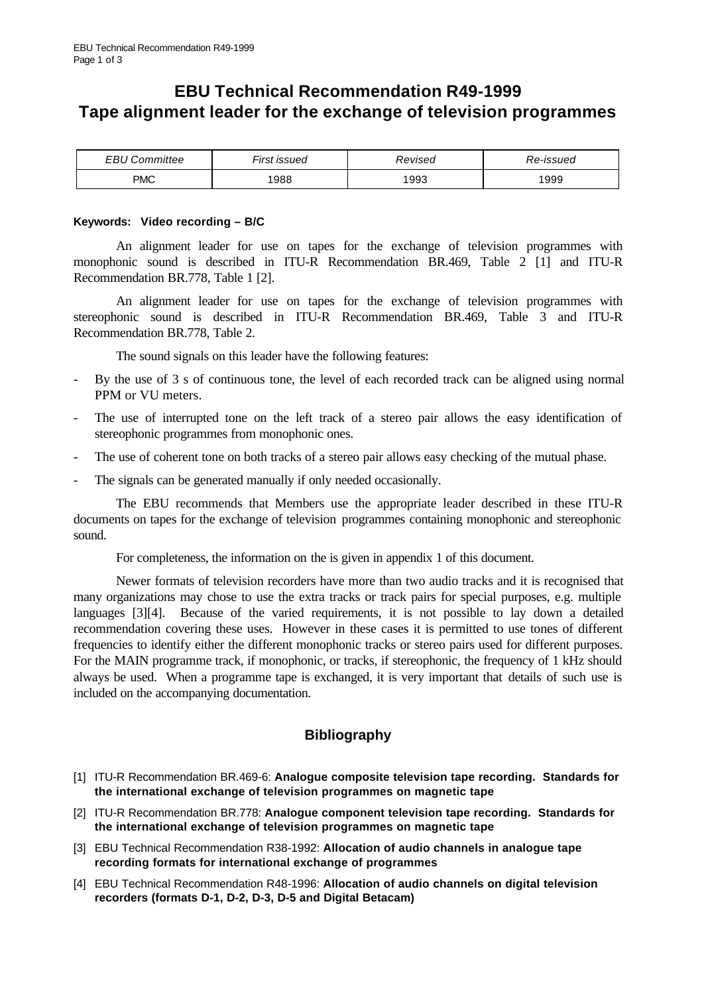# **EBU Technical Recommendation R49-1999 Tape alignment leader for the exchange of television programmes**

| FRU.<br>ommittee | <u>.</u><br>-irst<br>: issued | Revised | Re-issued |
|------------------|-------------------------------|---------|-----------|
| PMC              | '988                          | 1993    | 1999      |

## **Keywords: Video recording – B/C**

An alignment leader for use on tapes for the exchange of television programmes with monophonic sound is described in ITU-R Recommendation BR.469, Table 2 [1] and ITU-R Recommendation BR.778, Table 1 [2].

An alignment leader for use on tapes for the exchange of television programmes with stereophonic sound is described in ITU-R Recommendation BR.469, Table 3 and ITU-R Recommendation BR.778, Table 2.

The sound signals on this leader have the following features:

- By the use of 3 s of continuous tone, the level of each recorded track can be aligned using normal PPM or VU meters.
- The use of interrupted tone on the left track of a stereo pair allows the easy identification of stereophonic programmes from monophonic ones.
- The use of coherent tone on both tracks of a stereo pair allows easy checking of the mutual phase.
- The signals can be generated manually if only needed occasionally.

The EBU recommends that Members use the appropriate leader described in these ITU-R documents on tapes for the exchange of television programmes containing monophonic and stereophonic sound.

For completeness, the information on the is given in appendix 1 of this document.

Newer formats of television recorders have more than two audio tracks and it is recognised that many organizations may chose to use the extra tracks or track pairs for special purposes, e.g. multiple languages [3][4]. Because of the varied requirements, it is not possible to lay down a detailed recommendation covering these uses. However in these cases it is permitted to use tones of different frequencies to identify either the different monophonic tracks or stereo pairs used for different purposes. For the MAIN programme track, if monophonic, or tracks, if stereophonic, the frequency of 1 kHz should always be used. When a programme tape is exchanged, it is very important that details of such use is included on the accompanying documentation.

## **Bibliography**

- [1] ITU-R Recommendation BR.469-6: **Analogue composite television tape recording. Standards for the international exchange of television programmes on magnetic tape**
- [2] ITU-R Recommendation BR.778: **Analogue component television tape recording. Standards for the international exchange of television programmes on magnetic tape**
- [3] EBU Technical Recommendation R38-1992: **Allocation of audio channels in analogue tape recording formats for international exchange of programmes**
- [4] EBU Technical Recommendation R48-1996: **Allocation of audio channels on digital television recorders (formats D-1, D-2, D-3, D-5 and Digital Betacam)**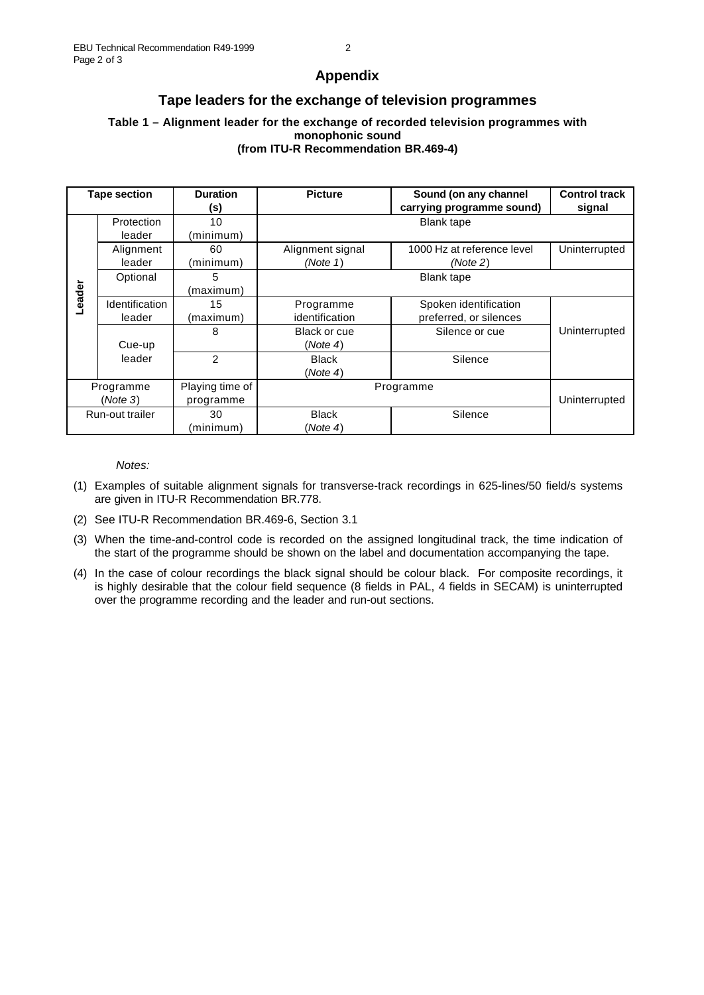#### **Appendix**

### **Tape leaders for the exchange of television programmes**

#### **Table 1 – Alignment leader for the exchange of recorded television programmes with monophonic sound (from ITU-R Recommendation BR.469-4)**

| <b>Tape section</b>   |                          | <b>Duration</b><br>(s)       | <b>Picture</b>               | Sound (on any channel<br>carrying programme sound) | <b>Control track</b><br>signal |  |
|-----------------------|--------------------------|------------------------------|------------------------------|----------------------------------------------------|--------------------------------|--|
|                       | Protection<br>leader     | 10<br>(minimum)              | <b>Blank tape</b>            |                                                    |                                |  |
| Leader                | Alignment<br>leader      | 60<br>(minimum)              | Alignment signal<br>(Note 1) | 1000 Hz at reference level<br>(Note 2)             | Uninterrupted                  |  |
|                       | Optional                 | 5<br>(maximum)               | <b>Blank tape</b>            |                                                    |                                |  |
|                       | Identification<br>leader | 15<br>(maximum)              | Programme<br>identification  | Spoken identification<br>preferred, or silences    |                                |  |
|                       | Cue-up                   | 8                            | Black or cue<br>(Note 4)     | Silence or cue                                     | Uninterrupted                  |  |
|                       | leader                   | 2                            | <b>Black</b><br>(Note 4)     | Silence                                            |                                |  |
| Programme<br>(Note 3) |                          | Playing time of<br>programme | Programme                    |                                                    | Uninterrupted                  |  |
| Run-out trailer       |                          | 30<br>(minimum)              | <b>Black</b><br>(Note 4)     | Silence                                            |                                |  |

*Notes:*

- (1) Examples of suitable alignment signals for transverse-track recordings in 625-lines/50 field/s systems are given in ITU-R Recommendation BR.778.
- (2) See ITU-R Recommendation BR.469-6, Section 3.1
- (3) When the time-and-control code is recorded on the assigned longitudinal track, the time indication of the start of the programme should be shown on the label and documentation accompanying the tape.
- (4) In the case of colour recordings the black signal should be colour black. For composite recordings, it is highly desirable that the colour field sequence (8 fields in PAL, 4 fields in SECAM) is uninterrupted over the programme recording and the leader and run-out sections.